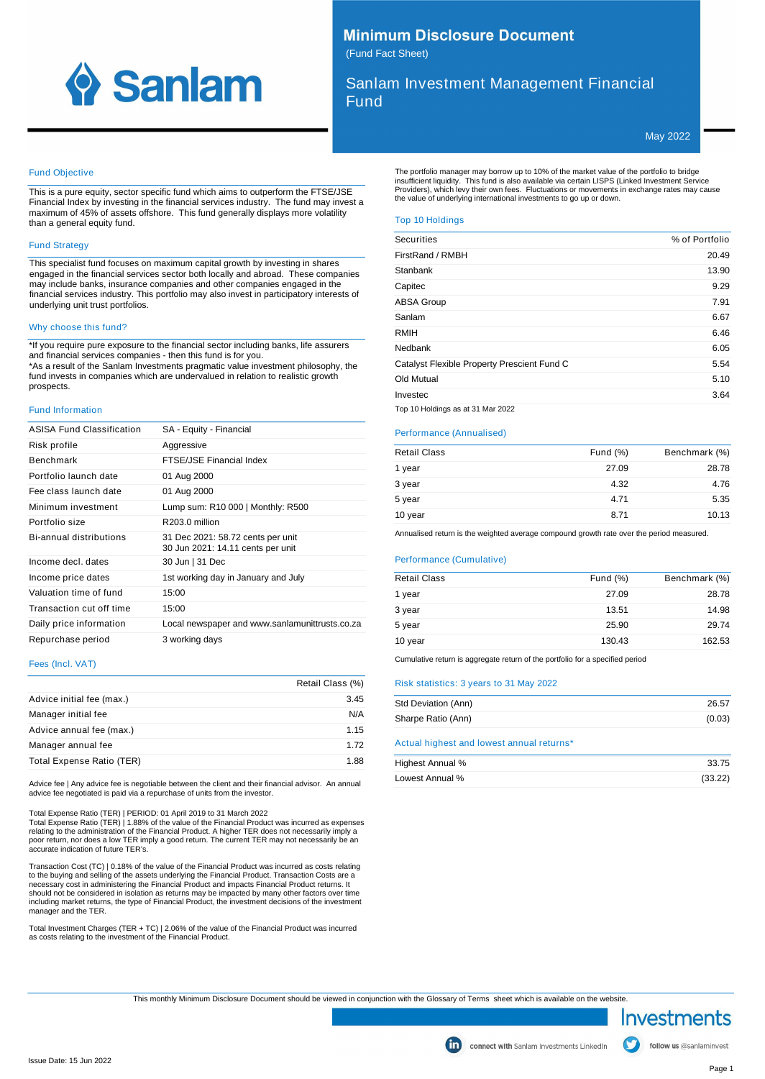

## **Minimum Disclosure Document** (Fund Fact Sheet)

Sanlam Investment Management Financial Fund

May 2022

## Fund Objective

This is a pure equity, sector specific fund which aims to outperform the FTSE/JSE Financial Index by investing in the financial services industry. The fund may invest a maximum of 45% of assets offshore. This fund generally displays more volatility than a general equity fund.

## Fund Strategy

This specialist fund focuses on maximum capital growth by investing in shares engaged in the financial services sector both locally and abroad. These companies may include banks, insurance companies and other companies engaged in the financial services industry. This portfolio may also invest in participatory interests of underlying unit trust portfolios.

## Why choose this fund?

\*If you require pure exposure to the financial sector including banks, life assurers and financial services companies - then this fund is for you. \*As a result of the Sanlam Investments pragmatic value investment philosophy, the fund invests in companies which are undervalued in relation to realistic growth prospects.

#### Fund Information

| <b>ASISA Fund Classification</b> | SA - Equity - Financial                                                |
|----------------------------------|------------------------------------------------------------------------|
| Risk profile                     | Aggressive                                                             |
| <b>Benchmark</b>                 | FTSE/JSE Financial Index                                               |
| Portfolio launch date            | 01 Aug 2000                                                            |
| Fee class launch date            | 01 Aug 2000                                                            |
| Minimum investment               | Lump sum: R10 000   Monthly: R500                                      |
| Portfolio size                   | R <sub>203.0</sub> million                                             |
| Bi-annual distributions          | 31 Dec 2021: 58.72 cents per unit<br>30 Jun 2021: 14.11 cents per unit |
| Income decl. dates               | 30 Jun   31 Dec                                                        |
| Income price dates               | 1st working day in January and July                                    |
| Valuation time of fund           | 15:00                                                                  |
| Transaction cut off time         | 15:00                                                                  |
| Daily price information          | Local newspaper and www.sanlamunittrusts.co.za                         |
| Repurchase period                | 3 working days                                                         |

#### Fees (Incl. VAT)

|                           | Retail Class (%) |
|---------------------------|------------------|
| Advice initial fee (max.) | 3.45             |
| Manager initial fee       | N/A              |
| Advice annual fee (max.)  | 1.15             |
| Manager annual fee        | 1.72             |
| Total Expense Ratio (TER) | 1.88             |

Advice fee | Any advice fee is negotiable between the client and their financial advisor. An annual advice fee negotiated is paid via a repurchase of units from the investor.

Total Expense Ratio (TER) | PERIOD: 01 April 2019 to 31 March 2022

Total Expense Ratio (TER) | 1.88% of the value of the Financial Product was incurred as expenses<br>relating to the administration of the Financial Product. A higher TER does not necessarily imply a<br>poor return, nor does a lo accurate indication of future TER's.

Transaction Cost (TC) | 0.18% of the value of the Financial Product was incurred as costs relating to the buying and selling of the assets underlying the Financial Product. Transaction Costs are a<br>necessary cost in administering the Financial Product and impacts Financial Product returns. It<br>should not be considered in including market returns, the type of Financial Product, the investment decisions of the investment manager and the TER.

Total Investment Charges (TER + TC) | 2.06% of the value of the Financial Product was incurred as costs relating to the investment of the Financial Product.

The portfolio manager may borrow up to 10% of the market value of the portfolio to bridge<br>insufficient liquidity. This fund is also available via certain LISPS (Linked Investment Service<br>Providers), which levy their own fe

## Top 10 Holdings

| Securities                                  | % of Portfolio |
|---------------------------------------------|----------------|
| FirstRand / RMBH                            | 20.49          |
| Stanbank                                    | 13.90          |
| Capitec                                     | 9.29           |
| <b>ABSA Group</b>                           | 7.91           |
| Sanlam                                      | 6.67           |
| <b>RMIH</b>                                 | 6.46           |
| Nedbank                                     | 6.05           |
| Catalyst Flexible Property Prescient Fund C | 5.54           |
| Old Mutual                                  | 5.10           |
| Investec                                    | 3.64           |

Top 10 Holdings as at 31 Mar 2022

#### Performance (Annualised)

| <b>Retail Class</b> | Fund $(\%)$ | Benchmark (%) |
|---------------------|-------------|---------------|
| 1 year              | 27.09       | 28.78         |
| 3 year              | 4.32        | 4.76          |
| 5 year              | 4.71        | 5.35          |
| 10 year             | 8.71        | 10.13         |

Annualised return is the weighted average compound growth rate over the period measured.

## Performance (Cumulative)

| <b>Retail Class</b> | Fund $(\%)$ | Benchmark (%) |
|---------------------|-------------|---------------|
| 1 year              | 27.09       | 28.78         |
| 3 year              | 13.51       | 14.98         |
| 5 year              | 25.90       | 29.74         |
| 10 year             | 130.43      | 162.53        |
|                     |             |               |

Cumulative return is aggregate return of the portfolio for a specified period

## Risk statistics: 3 years to 31 May 2022

| Std Deviation (Ann)                       | 26.57  |
|-------------------------------------------|--------|
| Sharpe Ratio (Ann)                        | (0.03) |
| Actual highest and lowest annual returns* |        |

| Highest Annual % | 33.75   |
|------------------|---------|
| Lowest Annual %  | (33.22) |

This monthly Minimum Disclosure Document should be viewed in conjunction with the Glossary of Terms sheet which is available on the website.

Investments

follow us @sanlaminvest